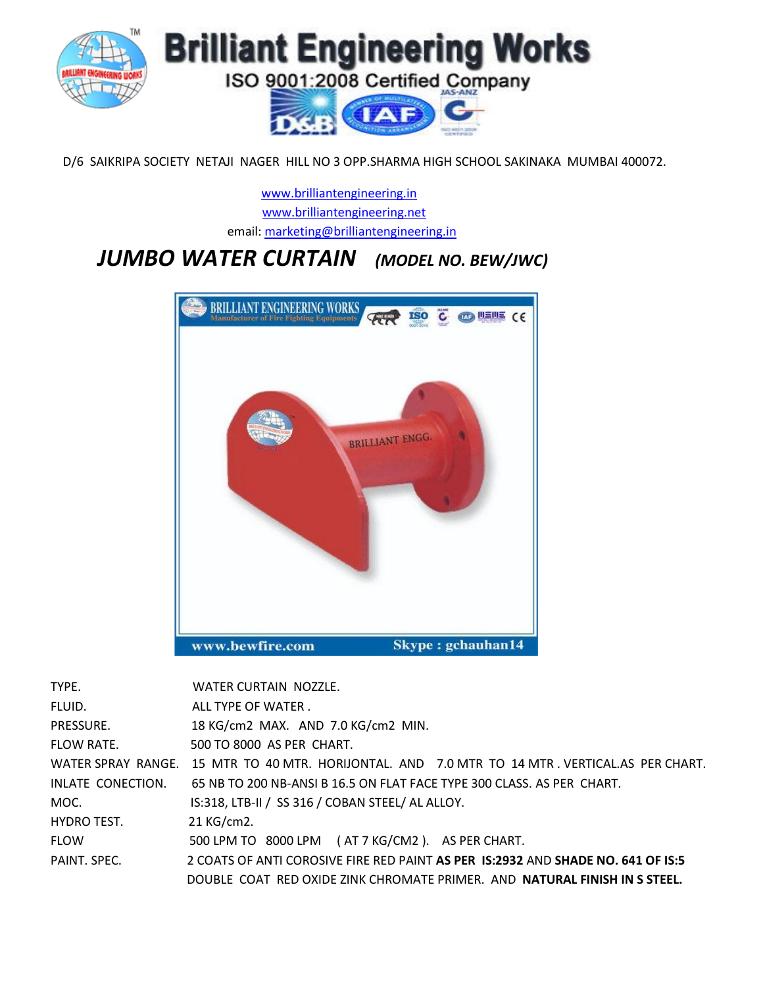

D/6 SAIKRIPA SOCIETY NETAJI NAGER HILL NO 3 OPP.SHARMA HIGH SCHOOL SAKINAKA MUMBAI 400072.

 [www.brilliantengineering.in](http://www.brilliantengineering.in/) [www.brilliantengineering.net](http://www.brilliantengineering.net/) email: [marketing@brilliantengineering.in](mailto:marketing@brilliantengineering.in)

## *JUMBO WATER CURTAIN (MODEL NO. BEW/JWC)*



| TYPE.              | WATER CURTAIN NOZZLE.                                                                           |
|--------------------|-------------------------------------------------------------------------------------------------|
| FLUID.             | ALL TYPE OF WATER.                                                                              |
| PRESSURE.          | 18 KG/cm2 MAX. AND 7.0 KG/cm2 MIN.                                                              |
| <b>FLOW RATE.</b>  | 500 TO 8000 AS PER CHART.                                                                       |
|                    | WATER SPRAY RANGE. 15 MTR TO 40 MTR. HORIJONTAL. AND 7.0 MTR TO 14 MTR . VERTICAL.AS PER CHART. |
| INLATE CONECTION.  | 65 NB TO 200 NB-ANSI B 16.5 ON FLAT FACE TYPE 300 CLASS. AS PER CHART.                          |
| MOC.               | IS:318, LTB-II / SS 316 / COBAN STEEL/ AL ALLOY.                                                |
| <b>HYDRO TEST.</b> | 21 KG/cm2.                                                                                      |
| <b>FLOW</b>        | 500 LPM TO 8000 LPM (AT 7 KG/CM2). AS PER CHART.                                                |
| PAINT, SPEC.       | 2 COATS OF ANTI COROSIVE FIRE RED PAINT AS PER 1S:2932 AND SHADE NO. 641 OF IS:5                |
|                    | DOUBLE COAT RED OXIDE ZINK CHROMATE PRIMER. AND <b>NATURAL FINISH IN S STEEL.</b>               |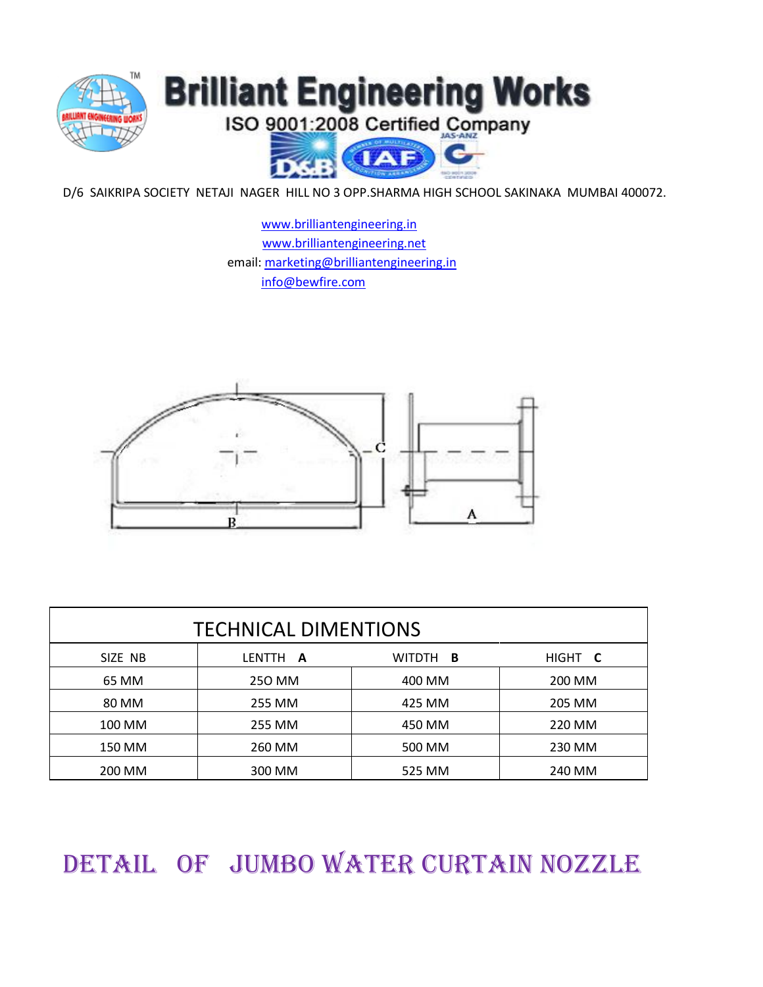

D/6 SAIKRIPA SOCIETY NETAJI NAGER HILL NO 3 OPP.SHARMA HIGH SCHOOL SAKINAKA MUMBAI 400072.

 [www.brilliantengineering.in](http://www.brilliantengineering.in/)  [www.brilliantengineering.net](http://www.brilliantengineering.net/) email: [marketing@brilliantengineering.in](mailto:marketing@brilliantengineering.in) [info@bewfire.com](mailto:info@bewfire.com)



| <b>TECHNICAL DIMENTIONS</b> |          |                 |         |  |  |  |
|-----------------------------|----------|-----------------|---------|--|--|--|
| SIZE NB                     | LENTTH A | WITDTH <b>B</b> | HIGHT C |  |  |  |
| 65 MM                       | 250 MM   | 400 MM          | 200 MM  |  |  |  |
| 80 MM                       | 255 MM   | 425 MM          | 205 MM  |  |  |  |
| 100 MM                      | 255 MM   | 450 MM          | 220 MM  |  |  |  |
| 150 MM                      | 260 MM   | 500 MM          | 230 MM  |  |  |  |
| 200 MM                      | 300 MM   | 525 MM          | 240 MM  |  |  |  |

DETAIL OF JUMBO WATER CURTAIN NOZZLE